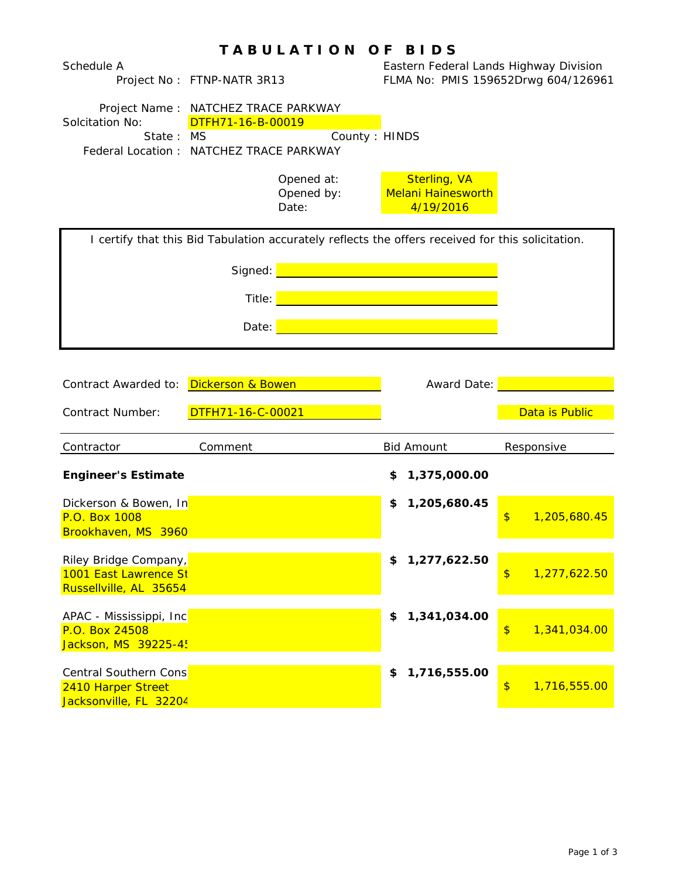|                                                                              | <b>TABULATION</b>                                                                                                     | O F<br><b>BIDS</b>                                            |                                     |
|------------------------------------------------------------------------------|-----------------------------------------------------------------------------------------------------------------------|---------------------------------------------------------------|-------------------------------------|
| Schedule A                                                                   | Project No: FTNP-NATR 3R13                                                                                            | Eastern Federal Lands Highway Division                        | FLMA No: PMIS 159652Drwg 604/126961 |
| Solcitation No:<br>State: MS                                                 | Project Name: NATCHEZ TRACE PARKWAY<br>DTFH71-16-B-00019<br>County: HINDS<br>Federal Location : NATCHEZ TRACE PARKWAY |                                                               |                                     |
|                                                                              | Opened at:<br>Opened by:<br>Date:                                                                                     | <b>Sterling, VA</b><br><b>Melani Hainesworth</b><br>4/19/2016 |                                     |
|                                                                              | I certify that this Bid Tabulation accurately reflects the offers received for this solicitation.                     |                                                               |                                     |
|                                                                              | Signed:                                                                                                               | <u> 1990 - Johann Barnett, fransk politiker (</u>             |                                     |
|                                                                              | Title:                                                                                                                |                                                               |                                     |
|                                                                              |                                                                                                                       |                                                               |                                     |
|                                                                              | Date:                                                                                                                 |                                                               |                                     |
|                                                                              |                                                                                                                       |                                                               |                                     |
| Contract Awarded to: Dickerson & Bowen                                       |                                                                                                                       | Award Date:                                                   |                                     |
| Contract Number:                                                             | DTFH71-16-C-00021                                                                                                     |                                                               | Data is Public                      |
| Contractor                                                                   | Comment                                                                                                               | <b>Bid Amount</b>                                             | Responsive                          |
| <b>Engineer's Estimate</b>                                                   |                                                                                                                       | 1,375,000.00<br>S                                             |                                     |
| Dickerson & Bowen, In<br>P.O. Box 1008<br>Brookhaven, MS 3960                |                                                                                                                       | 1,205,680.45<br>S                                             | \$<br>1,205,680.45                  |
| Riley Bridge Company,<br>1001 East Lawrence St<br>Russellville, AL 35654     |                                                                                                                       | 1,277,622.50<br>\$                                            | $\frac{1}{2}$<br>1,277,622.50       |
| APAC - Mississippi, Inc<br>P.O. Box 24508<br>Jackson, MS 39225-45            |                                                                                                                       | 1,341,034.00<br>\$                                            | $\frac{1}{2}$<br>1,341,034.00       |
| <b>Central Southern Cons</b><br>2410 Harper Street<br>Jacksonville, FL 32204 |                                                                                                                       | 1,716,555.00<br>\$                                            | $\frac{1}{2}$<br>1,716,555.00       |

## Page 1 of 3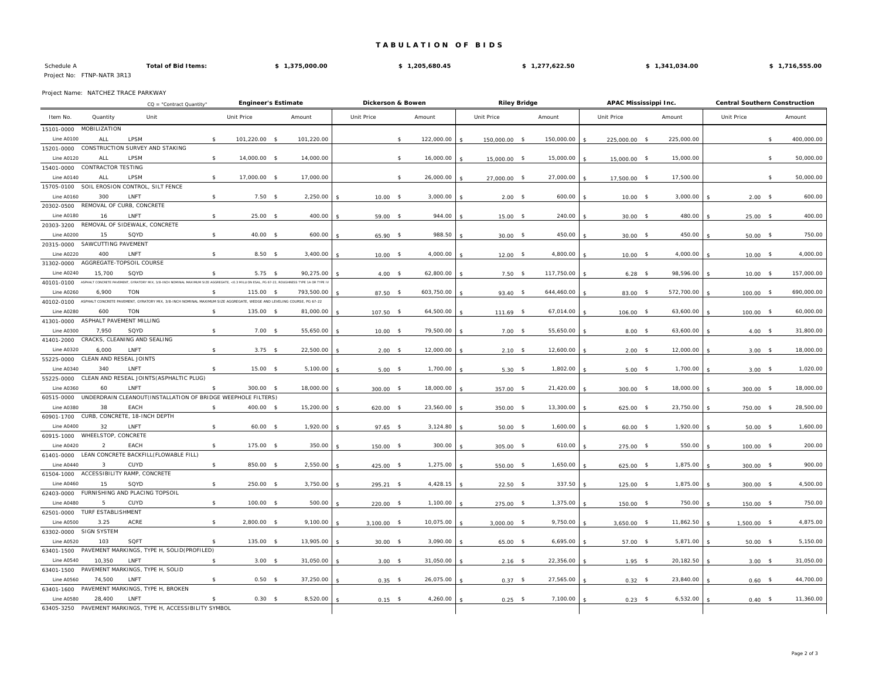## **T A B U L A T I O N O F B I D S**

| Schedule A                 | <b>Total of Bid Items:</b> | 1,375,000.00 | 1,205,680.45 | 1,277,622.50 | 1,341,034.00 | 1,716,555.00 |
|----------------------------|----------------------------|--------------|--------------|--------------|--------------|--------------|
| Project No: FTNP-NATR 3R13 |                            |              |              |              |              |              |

Project Name: NATCHEZ TRACE PARKWAY

|                   |                         | CQ = "Contract Quantity"                                                                                                                   |    | <b>Engineer's Estimate</b> |                    |            | Dickerson & Bowen |               |    |            | <b>Riley Bridge</b> |               |  |            | APAC Mississippi Inc. |               |      |            | <b>Central Southern Construction</b> |                    |            |
|-------------------|-------------------------|--------------------------------------------------------------------------------------------------------------------------------------------|----|----------------------------|--------------------|------------|-------------------|---------------|----|------------|---------------------|---------------|--|------------|-----------------------|---------------|------|------------|--------------------------------------|--------------------|------------|
| Item No.          | Quantity                | Unit                                                                                                                                       |    | Unit Price                 |                    | Amount     |                   | Unit Price    |    | Amount     |                     | Unit Price    |  | Amount     |                       | Unit Price    |      | Amount     | Unit Price                           |                    | Amount     |
| 15101-0000        | <b>MOBILIZATION</b>     |                                                                                                                                            |    |                            |                    |            |                   |               |    |            |                     |               |  |            |                       |               |      |            |                                      |                    |            |
| Line A0100        | AI I                    | LPSM                                                                                                                                       | \$ | 101,220.00                 | $\sim$             | 101,220.00 |                   |               | \$ | 122,000.00 |                     | 150,000.00 \$ |  | 150,000.00 |                       | 225,000.00 \$ |      | 225,000.00 |                                      | \$                 | 400,000.00 |
| 15201-0000        |                         | CONSTRUCTION SURVEY AND STAKING                                                                                                            |    |                            |                    |            |                   |               |    |            |                     |               |  |            |                       |               |      |            |                                      |                    |            |
| Line A0120        | AI I                    | <b>LPSM</b>                                                                                                                                | \$ | 14,000.00 \$               |                    | 14,000.00  |                   |               | \$ | 16,000.00  |                     | 15,000.00 \$  |  | 15,000.00  |                       | 15,000.00 \$  |      | 15,000.00  |                                      | $\mathbf{\hat{S}}$ | 50,000.00  |
| 15401-0000        | CONTRACTOR TESTING      |                                                                                                                                            |    |                            |                    |            |                   |               |    |            |                     |               |  |            |                       |               |      |            |                                      |                    |            |
| Line A0140        | AI I                    | <b>I PSM</b>                                                                                                                               | \$ | 17,000.00 \$               |                    | 17,000.00  |                   |               | \$ | 26,000.00  |                     | 27,000.00 \$  |  | 27,000.00  |                       | 17,500.00 \$  |      | 17,500.00  |                                      | $\mathbf{\hat{S}}$ | 50,000.00  |
| 15705-0100        |                         | SOIL EROSION CONTROL, SILT FENCE                                                                                                           |    |                            |                    |            |                   |               |    |            |                     |               |  |            |                       |               |      |            |                                      |                    |            |
| Line A0160        | 300                     | LNFT                                                                                                                                       | \$ | $7.50$ \$                  |                    | 2,250.00   |                   | $10.00$ \$    |    | 3,000.00   |                     | $2.00$ \$     |  | 600.00     |                       | $10.00$ \$    |      | 3,000.00   | $2.00*$                              |                    | 600.00     |
| 20302-0500        |                         | REMOVAL OF CURB, CONCRETE                                                                                                                  |    |                            |                    |            |                   |               |    |            |                     |               |  |            |                       |               |      |            |                                      |                    |            |
| <b>Line A0180</b> | 16                      | LNFT                                                                                                                                       | \$ | 25.00 \$                   |                    | 400.00     |                   | $59.00$ \$    |    | 944.00     |                     | $15.00$ \$    |  | 240.00     |                       | $30.00$ \$    |      | 480.00     | $25.00$ \$                           |                    | 400.00     |
| 20303-3200        |                         | REMOVAL OF SIDEWALK, CONCRETE                                                                                                              |    |                            |                    |            |                   |               |    |            |                     |               |  |            |                       |               |      |            |                                      |                    |            |
| Line A0200        | 15                      | SQYD                                                                                                                                       | \$ | 40.00 \$                   |                    | 600.00     |                   | $65.90$ \$    |    | 988.50     |                     | $30.00$ \$    |  | 450.00     |                       | $30.00$ \$    |      | 450.00     | $50.00$ \$                           |                    | 750.00     |
| 20315-0000        | SAWCUTTING PAVEMENT     |                                                                                                                                            |    |                            |                    |            |                   |               |    |            |                     |               |  |            |                       |               |      |            |                                      |                    |            |
| Line A0220        | 400                     | LNFT                                                                                                                                       | \$ | $8.50$ \$                  |                    | 3,400.00   |                   | $10.00$ \$    |    | 4,000.00   |                     | $12.00$ \$    |  | 4,800.00   |                       | $10.00$ \$    |      | 4,000.00   | $10.00$ \$                           |                    | 4,000.00   |
| 31302-0000        |                         | AGGREGATE-TOPSOIL COURSE                                                                                                                   |    |                            |                    |            |                   |               |    |            |                     |               |  |            |                       |               |      |            |                                      |                    |            |
| Line A0240        | 15,700                  | SQYD                                                                                                                                       | \$ | $5.75$ \$                  |                    | 90,275.00  |                   | $4.00$ \$     |    | 62,800.00  |                     | $7.50$ \$     |  | 117,750.00 |                       | $6.28$ \$     |      | 98,596.00  | $10.00$ \$                           |                    | 157,000.00 |
| 40101-0100        |                         | ASPHALT CONCRETE PAVEMENT, GYRATORY MIX, 3/8-INCH NOMINAL MAXIMUM SIZE AGGREGATE, <0.3 MILLION ESAL, PG 67-22, ROUGHNESS TYPE 1A OR TYPE I |    |                            |                    |            |                   |               |    |            |                     |               |  |            |                       |               |      |            |                                      |                    |            |
| <b>Line A0260</b> | 6,900                   | <b>TON</b>                                                                                                                                 | \$ | 115.00                     | - \$               | 793,500.00 |                   | 87.50 \$      |    | 603,750.00 |                     | 93.40 \$      |  | 644,460.00 |                       | 83.00 \$      |      | 572,700.00 | $100.00$ \$                          |                    | 690,000.00 |
| 40102-0100        |                         | ASPHALT CONCRETE PAVEMENT, GYRATORY MIX, 3/8-INCH NOMINAL MAXIMUM SIZE AGGREGATE, WEDGE AND LEVELING COURSE, PG 67-22                      |    |                            |                    |            |                   |               |    |            |                     |               |  |            |                       |               |      |            |                                      |                    |            |
| <b>Line A0280</b> | 600                     | <b>TON</b>                                                                                                                                 | \$ | 135.00 \$                  |                    | 81,000.00  |                   | $107.50$ \$   |    | 64,500.00  |                     | $111.69$ \$   |  | 67,014.00  |                       | $106.00$ \$   |      | 63,600.00  | $100.00$ \$                          |                    | 60,000.00  |
| 41301-0000        |                         | ASPHALT PAVEMENT MILLING                                                                                                                   |    |                            |                    |            |                   |               |    |            |                     |               |  |            |                       |               |      |            |                                      |                    |            |
| Line A0300        | 7.950                   | SQYD                                                                                                                                       | \$ | $7.00$ \$                  |                    | 55,650.00  |                   | $10.00$ \$    |    | 79,500.00  |                     | $7.00$ \$     |  | 55,650.00  |                       | $8.00$ \$     |      | 63,600.00  | $4.00$ \$                            |                    | 31,800.00  |
| 41401-2000        |                         | CRACKS, CLEANING AND SEALING                                                                                                               |    |                            |                    |            |                   |               |    |            |                     |               |  |            |                       |               |      |            |                                      |                    |            |
| <b>Line A0320</b> | 6,000                   | LNFT                                                                                                                                       | \$ | $3.75$ \$                  |                    | 22,500.00  |                   | $2.00$ \$     |    | 12,000.00  |                     | $2.10$ \$     |  | 12,600.00  |                       | $2.00$ \$     |      | 12,000.00  | $3.00$ \$                            |                    | 18,000.00  |
| 55225-0000        | CLEAN AND RESEAL JOINTS |                                                                                                                                            |    |                            |                    |            |                   |               |    |            |                     |               |  |            |                       |               |      |            |                                      |                    |            |
| Line A0340        | 340                     | LNFT                                                                                                                                       | \$ | $15.00$ \$                 |                    | 5,100.00   |                   | $5.00$ \$     |    | 1,700.00   |                     | $5.30$ \$     |  | 1,802.00   |                       | $5.00$ \$     |      | 1,700.00   | $3.00$ \$                            |                    | 1,020.00   |
| 55225-0000        |                         | CLEAN AND RESEAL JOINTS (ASPHALTIC PLUG)                                                                                                   |    |                            |                    |            |                   |               |    |            |                     |               |  |            |                       |               |      |            |                                      |                    |            |
| <b>Line A0360</b> | 60                      | LNFT                                                                                                                                       | s. | 300.00 \$                  |                    | 18,000.00  |                   | $300.00$ \$   |    | 18,000.00  |                     | $357.00$ \$   |  | 21,420.00  |                       | 300.00        | - \$ | 18,000.00  | $300.00$ \$                          |                    | 18,000.00  |
| 60515-0000        |                         | UNDERDRAIN CLEANOUT(INSTALLATION OF BRIDGE WEEPHOLE FILTERS)                                                                               |    |                            |                    |            |                   |               |    |            |                     |               |  |            |                       |               |      |            |                                      |                    |            |
| Line A0380        | 38                      | EACH                                                                                                                                       | \$ | 400.00 \$                  |                    | 15,200.00  |                   | $620.00$ \$   |    | 23,560.00  |                     | 350.00 \$     |  | 13,300.00  |                       | $625.00$ \$   |      | 23,750.00  | 750.00 \$                            |                    | 28,500.00  |
| 60901-1700        |                         | CURB, CONCRETE, 18-INCH DEPTH                                                                                                              |    |                            |                    |            |                   |               |    |            |                     |               |  |            |                       |               |      |            |                                      |                    |            |
| Line A0400        | 32                      | LNFT                                                                                                                                       | \$ | 60.00 \$                   |                    | 1,920.00   |                   | $97.65$ \$    |    | 3,124.80   |                     | $50.00$ \$    |  | 1,600.00   |                       | $60.00$ \$    |      | 1,920.00   | $50.00$ \$                           |                    | 1,600.00   |
| 60915-1000        | WHEELSTOP, CONCRETE     |                                                                                                                                            |    |                            |                    |            |                   |               |    |            |                     |               |  |            |                       |               |      |            |                                      |                    |            |
| Line A0420        | $\mathcal{P}$           | EACH                                                                                                                                       | \$ | 175.00                     | $\mathbf{\hat{s}}$ | 350.00     |                   | 150.00 \$     |    | 300.00     |                     | $305.00$ \$   |  | 610.00     |                       | $275.00$ \$   |      | 550.00     | $100.00$ \$                          |                    | 200.00     |
| 61401-0000        |                         | LEAN CONCRETE BACKFILL (FLOWABLE FILL)                                                                                                     |    |                            |                    |            |                   |               |    |            |                     |               |  |            |                       |               |      |            |                                      |                    |            |
| Line A0440        | $\mathbf{3}$            | CUYD                                                                                                                                       | \$ | 850.00                     | $^{\circ}$         | 2,550.00   |                   | 425.00 \$     |    | 1,275.00   |                     | 550.00 \$     |  | 1,650.00   |                       | $625.00$ \$   |      | 1,875.00   | $300.00$ \$                          |                    | 900.00     |
| 61504-1000        |                         | ACCESSIBILITY RAMP, CONCRETE                                                                                                               |    |                            |                    |            |                   |               |    |            |                     |               |  |            |                       |               |      |            |                                      |                    |            |
| Line A0460        | 15                      | SQYD                                                                                                                                       | \$ | 250.00 \$                  |                    | 3,750.00   |                   | 295.21 \$     |    | 4,428.15   |                     | $22.50$ \$    |  | 337.50     |                       | $125.00$ \$   |      | 1,875.00   | $300.00$ \$                          |                    | 4,500.00   |
| 62403-0000        |                         | FURNISHING AND PLACING TOPSOIL                                                                                                             |    |                            |                    |            |                   |               |    |            |                     |               |  |            |                       |               |      |            |                                      |                    |            |
| Line A0480        | 5                       | CUYD                                                                                                                                       | \$ | 100.00                     | $\mathsf{\$}$      | 500.00     |                   | $220.00$ \$   |    | 1,100.00   |                     | $275.00$ \$   |  | 1,375.00   |                       | 150.00 \$     |      | 750.00     | $150.00$ \$                          |                    | 750.00     |
| 62501-0000        | TURF ESTABLISHMENT      |                                                                                                                                            |    |                            |                    |            |                   |               |    |            |                     |               |  |            |                       |               |      |            |                                      |                    |            |
| <b>Line A0500</b> | 3.25                    | ACRE                                                                                                                                       | \$ | 2,800.00                   | - \$               | 9,100.00   |                   | $3,100.00$ \$ |    | 10,075.00  |                     | $3,000.00$ \$ |  | 9,750.00   |                       | $3,650.00$ \$ |      | 11,862.50  | $1,500.00$ \$                        |                    | 4,875.00   |
| 63302-0000        | <b>SIGN SYSTEM</b>      |                                                                                                                                            |    |                            |                    |            |                   |               |    |            |                     |               |  |            |                       |               |      |            |                                      |                    |            |
| Line A0520        | 103                     | SQFT                                                                                                                                       | \$ | 135.00                     | $^{\circ}$         | 13,905.00  |                   | $30.00$ \$    |    | 3,090.00   |                     | 65.00 \$      |  | 6,695.00   |                       | 57.00 \$      |      | 5,871.00   | $50.00$ \$                           |                    | 5,150.00   |
| 63401-1500        |                         | PAVEMENT MARKINGS, TYPE H, SOLID(PROFILED)                                                                                                 |    |                            |                    |            |                   |               |    |            |                     |               |  |            |                       |               |      |            |                                      |                    |            |
| Line A0540        | 10,350                  | LNFT                                                                                                                                       | \$ | $3.00$ \$                  |                    | 31,050.00  |                   | $3.00$ \$     |    | 31,050.00  |                     | $2.16$ \$     |  | 22,356.00  |                       | $1.95$ \$     |      | 20,182.50  | $3.00$ \$                            |                    | 31,050.00  |
| 63401-1500        |                         | PAVEMENT MARKINGS, TYPE H, SOLID                                                                                                           |    |                            |                    |            |                   |               |    |            |                     |               |  |            |                       |               |      |            |                                      |                    |            |
| <b>Line A0560</b> | 74,500                  | LNFT                                                                                                                                       | \$ | $0.50$ \$                  |                    | 37,250.00  |                   | $0.35$ \$     |    | 26,075.00  |                     | $0.37$ \$     |  | 27,565.00  |                       | $0.32$ \$     |      | 23,840.00  | $0.60$ \$                            |                    | 44,700.00  |
| 63401-1600        |                         | PAVEMENT MARKINGS, TYPE H, BROKEN                                                                                                          |    |                            |                    |            |                   |               |    |            |                     |               |  |            |                       |               |      |            |                                      |                    |            |
| Line A0580        | 28,400                  | LNFT                                                                                                                                       | \$ | $0.30$ \$                  |                    | 8,520.00   |                   | $0.15$ \$     |    | 4,260.00   |                     | $0.25$ \$     |  | 7,100.00   |                       | $0.23$ \$     |      | 6,532.00   | $0.40$ \$                            |                    | 11,360.00  |
| 63405-3250        |                         | PAVEMENT MARKINGS, TYPE H, ACCESSIBILITY SYMBOL                                                                                            |    |                            |                    |            |                   |               |    |            |                     |               |  |            |                       |               |      |            |                                      |                    |            |